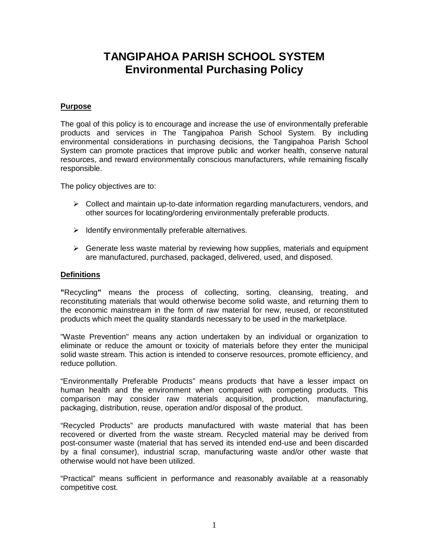# **TANGIPAHOA PARISH SCHOOL SYSTEM Environmental Purchasing Policy**

## **Purpose**

The goal of this policy is to encourage and increase the use of environmentally preferable products and services in The Tangipahoa Parish School System. By including environmental considerations in purchasing decisions, the Tangipahoa Parish School System can promote practices that improve public and worker health, conserve natural resources, and reward environmentally conscious manufacturers, while remaining fiscally responsible.

The policy objectives are to:

- $\triangleright$  Collect and maintain up-to-date information regarding manufacturers, vendors, and other sources for locating/ordering environmentally preferable products.
- $\triangleright$  Identify environmentally preferable alternatives.
- $\triangleright$  Generate less waste material by reviewing how supplies, materials and equipment are manufactured, purchased, packaged, delivered, used, and disposed.

### **Definitions**

**"**Recycling**"** means the process of collecting, sorting, cleansing, treating, and reconstituting materials that would otherwise become solid waste, and returning them to the economic mainstream in the form of raw material for new, reused, or reconstituted products which meet the quality standards necessary to be used in the marketplace.

"Waste Prevention" means any action undertaken by an individual or organization to eliminate or reduce the amount or toxicity of materials before they enter the municipal solid waste stream. This action is intended to conserve resources, promote efficiency, and reduce pollution.

"Environmentally Preferable Products" means products that have a lesser impact on human health and the environment when compared with competing products. This comparison may consider raw materials acquisition, production, manufacturing, packaging, distribution, reuse, operation and/or disposal of the product.

"Recycled Products" are products manufactured with waste material that has been recovered or diverted from the waste stream. Recycled material may be derived from post-consumer waste (material that has served its intended end-use and been discarded by a final consumer), industrial scrap, manufacturing waste and/or other waste that otherwise would not have been utilized.

"Practical" means sufficient in performance and reasonably available at a reasonably competitive cost.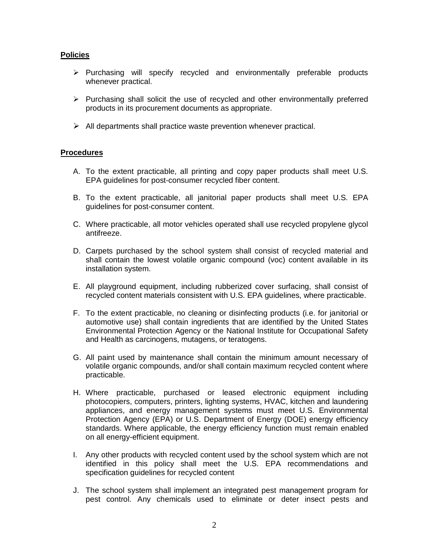### **Policies**

- $\triangleright$  Purchasing will specify recycled and environmentally preferable products whenever practical.
- $\triangleright$  Purchasing shall solicit the use of recycled and other environmentally preferred products in its procurement documents as appropriate.
- $\triangleright$  All departments shall practice waste prevention whenever practical.

#### **Procedures**

- A. To the extent practicable, all printing and copy paper products shall meet U.S. EPA guidelines for post-consumer recycled fiber content.
- B. To the extent practicable, all janitorial paper products shall meet U.S. EPA guidelines for post-consumer content.
- C. Where practicable, all motor vehicles operated shall use recycled propylene glycol antifreeze.
- D. Carpets purchased by the school system shall consist of recycled material and shall contain the lowest volatile organic compound (voc) content available in its installation system.
- E. All playground equipment, including rubberized cover surfacing, shall consist of recycled content materials consistent with U.S. EPA guidelines, where practicable.
- F. To the extent practicable, no cleaning or disinfecting products (i.e. for janitorial or automotive use) shall contain ingredients that are identified by the United States Environmental Protection Agency or the National Institute for Occupational Safety and Health as carcinogens, mutagens, or teratogens.
- G. All paint used by maintenance shall contain the minimum amount necessary of volatile organic compounds, and/or shall contain maximum recycled content where practicable.
- H. Where practicable, purchased or leased electronic equipment including photocopiers, computers, printers, lighting systems, HVAC, kitchen and laundering appliances, and energy management systems must meet U.S. Environmental Protection Agency (EPA) or U.S. Department of Energy (DOE) energy efficiency standards. Where applicable, the energy efficiency function must remain enabled on all energy-efficient equipment.
- I. Any other products with recycled content used by the school system which are not identified in this policy shall meet the U.S. EPA recommendations and specification guidelines for recycled content
- J. The school system shall implement an integrated pest management program for pest control. Any chemicals used to eliminate or deter insect pests and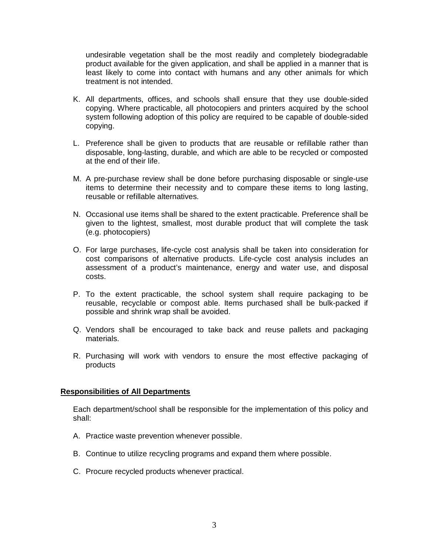undesirable vegetation shall be the most readily and completely biodegradable product available for the given application, and shall be applied in a manner that is least likely to come into contact with humans and any other animals for which treatment is not intended.

- K. All departments, offices, and schools shall ensure that they use double-sided copying. Where practicable, all photocopiers and printers acquired by the school system following adoption of this policy are required to be capable of double-sided copying.
- L. Preference shall be given to products that are reusable or refillable rather than disposable, long-lasting, durable, and which are able to be recycled or composted at the end of their life.
- M. A pre-purchase review shall be done before purchasing disposable or single-use items to determine their necessity and to compare these items to long lasting, reusable or refillable alternatives.
- N. Occasional use items shall be shared to the extent practicable. Preference shall be given to the lightest, smallest, most durable product that will complete the task (e.g. photocopiers)
- O. For large purchases, life-cycle cost analysis shall be taken into consideration for cost comparisons of alternative products. Life-cycle cost analysis includes an assessment of a product's maintenance, energy and water use, and disposal costs.
- P. To the extent practicable, the school system shall require packaging to be reusable, recyclable or compost able. Items purchased shall be bulk-packed if possible and shrink wrap shall be avoided.
- Q. Vendors shall be encouraged to take back and reuse pallets and packaging materials.
- R. Purchasing will work with vendors to ensure the most effective packaging of products

#### **Responsibilities of All Departments**

Each department/school shall be responsible for the implementation of this policy and shall:

- A. Practice waste prevention whenever possible.
- B. Continue to utilize recycling programs and expand them where possible.
- C. Procure recycled products whenever practical.